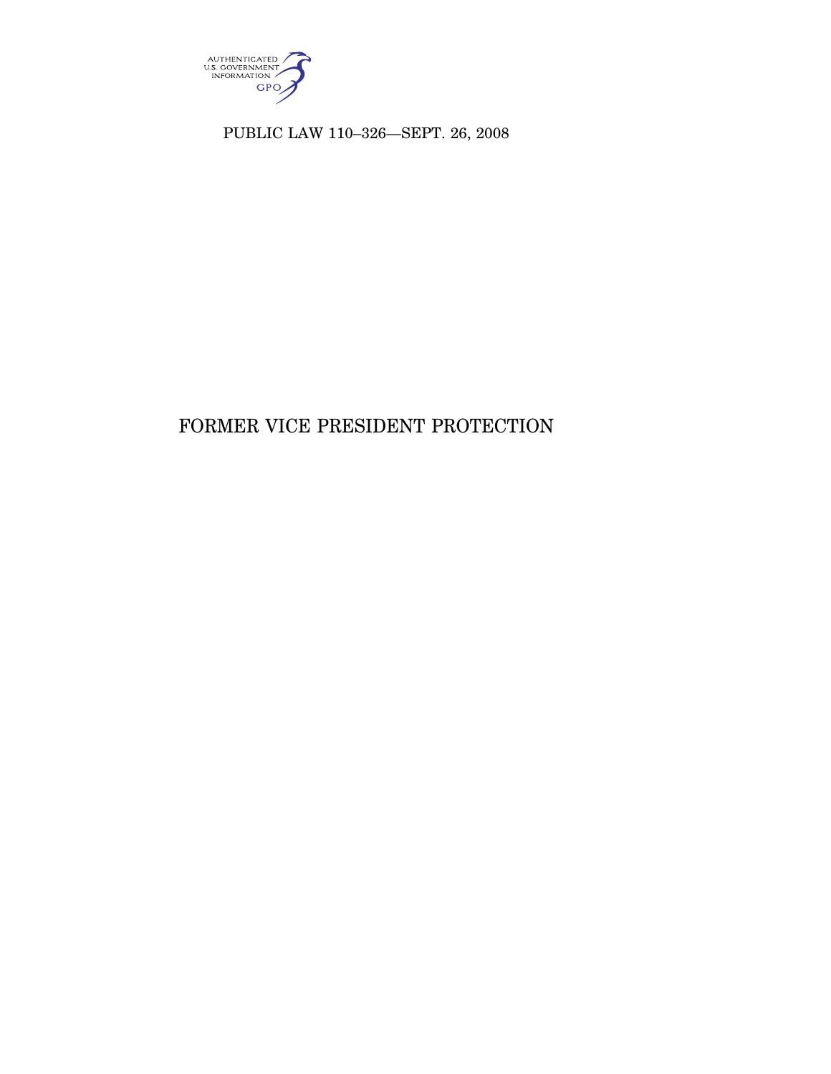

PUBLIC LAW 110–326—SEPT. 26, 2008

# FORMER VICE PRESIDENT PROTECTION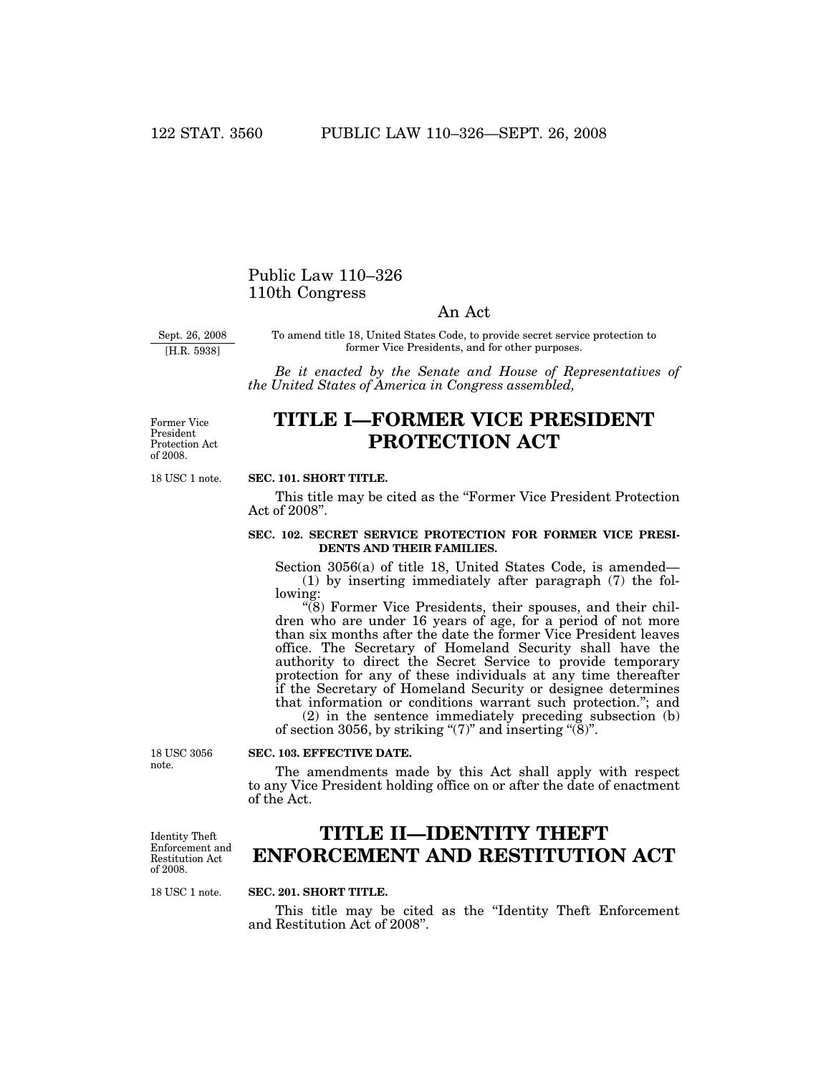## Public Law 110–326 110th Congress

## An Act

Sept. 26, 2008

[H.R. 5938]

To amend title 18, United States Code, to provide secret service protection to former Vice Presidents, and for other purposes.

*Be it enacted by the Senate and House of Representatives of the United States of America in Congress assembled,* 

Former Vice President Protection Act of 2008.

# **TITLE I—FORMER VICE PRESIDENT PROTECTION ACT**

18 USC 1 note.

### **SEC. 101. SHORT TITLE.**

This title may be cited as the ''Former Vice President Protection Act of 2008''.

#### **SEC. 102. SECRET SERVICE PROTECTION FOR FORMER VICE PRESI-DENTS AND THEIR FAMILIES.**

Section 3056(a) of title 18, United States Code, is amended— (1) by inserting immediately after paragraph (7) the following:

 $\degree$ (8) Former Vice Presidents, their spouses, and their children who are under 16 years of age, for a period of not more than six months after the date the former Vice President leaves office. The Secretary of Homeland Security shall have the authority to direct the Secret Service to provide temporary protection for any of these individuals at any time thereafter if the Secretary of Homeland Security or designee determines that information or conditions warrant such protection.''; and

(2) in the sentence immediately preceding subsection (b) of section 3056, by striking " $(7)$ " and inserting " $(8)$ ".

18 USC 3056 note.

#### **SEC. 103. EFFECTIVE DATE.**

The amendments made by this Act shall apply with respect to any Vice President holding office on or after the date of enactment of the Act.

Identity Theft Enforcement and Restitution Act of 2008.

# **TITLE II—IDENTITY THEFT ENFORCEMENT AND RESTITUTION ACT**

18 USC 1 note.

#### **SEC. 201. SHORT TITLE.**

This title may be cited as the ''Identity Theft Enforcement and Restitution Act of 2008''.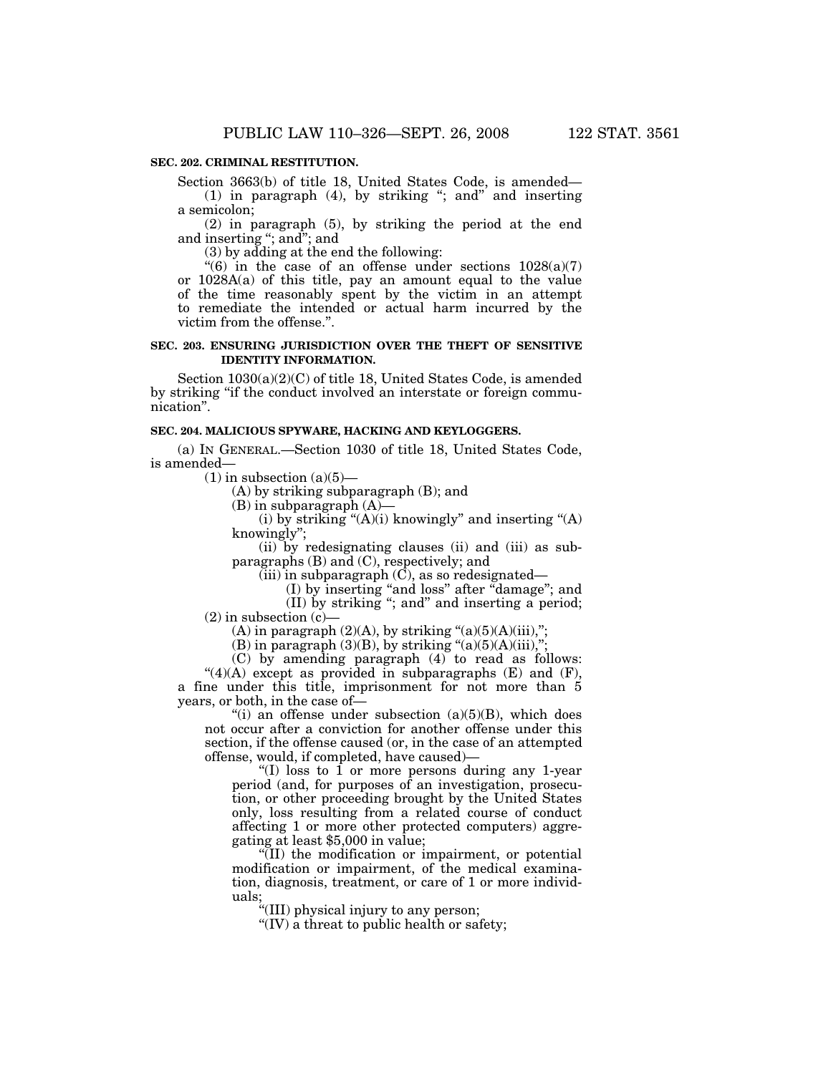#### **SEC. 202. CRIMINAL RESTITUTION.**

Section 3663(b) of title 18, United States Code, is amended—

(1) in paragraph (4), by striking "; and " and inserting a semicolon;

(2) in paragraph (5), by striking the period at the end and inserting ''; and''; and

(3) by adding at the end the following:

"(6) in the case of an offense under sections  $1028(a)(7)$ or 1028A(a) of this title, pay an amount equal to the value of the time reasonably spent by the victim in an attempt to remediate the intended or actual harm incurred by the victim from the offense.''.

#### **SEC. 203. ENSURING JURISDICTION OVER THE THEFT OF SENSITIVE IDENTITY INFORMATION.**

Section 1030(a)(2)(C) of title 18, United States Code, is amended by striking ''if the conduct involved an interstate or foreign communication''.

#### **SEC. 204. MALICIOUS SPYWARE, HACKING AND KEYLOGGERS.**

(a) IN GENERAL.—Section 1030 of title 18, United States Code, is amended—

 $(1)$  in subsection  $(a)(5)$ —

(A) by striking subparagraph (B); and

 $(B)$  in subparagraph  $(A)$ –

(i) by striking " $(A)(i)$  knowingly" and inserting " $(A)$ knowingly'';

(ii) by redesignating clauses (ii) and (iii) as subparagraphs (B) and (C), respectively; and

 $(iii)$  in subparagraph  $(\overline{C})$ , as so redesignated—

(I) by inserting ''and loss'' after ''damage''; and

(II) by striking ''; and'' and inserting a period;  $(2)$  in subsection  $(c)$ –

(A) in paragraph  $(2)(A)$ , by striking " $(a)(5)(A)(iii)$ ,";

(B) in paragraph  $(3)(B)$ , by striking " $(a)(5)(A)(iii)$ ,";

(C) by amending paragraph (4) to read as follows:

 $"(4)(A)$  except as provided in subparagraphs (E) and (F), a fine under this title, imprisonment for not more than 5 years, or both, in the case of—

"(i) an offense under subsection  $(a)(5)(B)$ , which does not occur after a conviction for another offense under this section, if the offense caused (or, in the case of an attempted offense, would, if completed, have caused)—

"(I) loss to  $\overline{1}$  or more persons during any 1-year" period (and, for purposes of an investigation, prosecution, or other proceeding brought by the United States only, loss resulting from a related course of conduct affecting 1 or more other protected computers) aggregating at least \$5,000 in value;

''(II) the modification or impairment, or potential modification or impairment, of the medical examination, diagnosis, treatment, or care of 1 or more individuals;

''(III) physical injury to any person;

''(IV) a threat to public health or safety;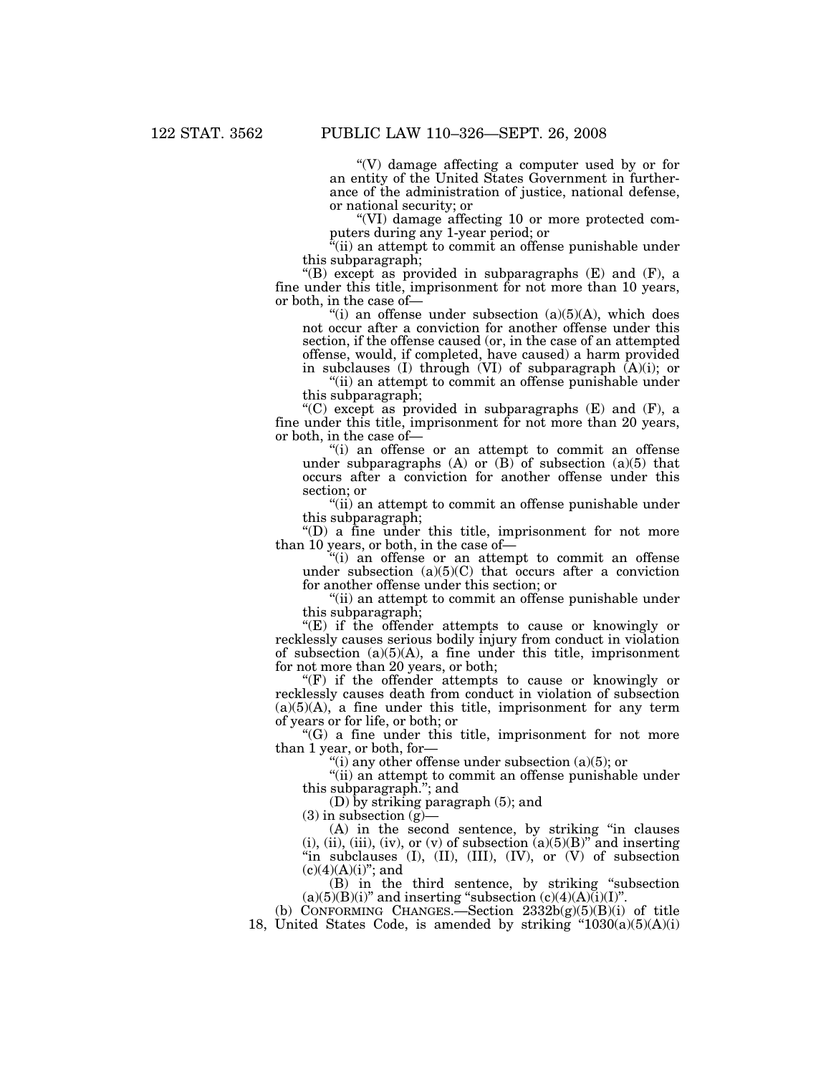''(V) damage affecting a computer used by or for an entity of the United States Government in furtherance of the administration of justice, national defense, or national security; or

''(VI) damage affecting 10 or more protected computers during any 1-year period; or

''(ii) an attempt to commit an offense punishable under this subparagraph;

"(B) except as provided in subparagraphs  $(E)$  and  $(F)$ , a fine under this title, imprisonment for not more than 10 years, or both, in the case of—

"(i) an offense under subsection  $(a)(5)(A)$ , which does not occur after a conviction for another offense under this section, if the offense caused (or, in the case of an attempted offense, would, if completed, have caused) a harm provided in subclauses (I) through (VI) of subparagraph (A)(i); or

''(ii) an attempt to commit an offense punishable under this subparagraph;

"(C) except as provided in subparagraphs  $(E)$  and  $(F)$ , a fine under this title, imprisonment for not more than 20 years, or both, in the case of—

''(i) an offense or an attempt to commit an offense under subparagraphs (A) or  $(B)$  of subsection  $(a)(5)$  that occurs after a conviction for another offense under this section; or

''(ii) an attempt to commit an offense punishable under this subparagraph;

''(D) a fine under this title, imprisonment for not more than 10 years, or both, in the case of—

''(i) an offense or an attempt to commit an offense under subsection  $(a)(5)(C)$  that occurs after a conviction for another offense under this section; or

''(ii) an attempt to commit an offense punishable under this subparagraph;

 $E$ ) if the offender attempts to cause or knowingly or recklessly causes serious bodily injury from conduct in violation of subsection  $(a)(5)(A)$ , a fine under this title, imprisonment for not more than 20 years, or both;

 $(F)$  if the offender attempts to cause or knowingly or recklessly causes death from conduct in violation of subsection  $(a)(5)(A)$ , a fine under this title, imprisonment for any term of years or for life, or both; or

 $C(G)$  a fine under this title, imprisonment for not more than 1 year, or both, for—

"(i) any other offense under subsection  $(a)(5)$ ; or

"(ii) an attempt to commit an offense punishable under this subparagraph.''; and

(D) by striking paragraph (5); and

 $(3)$  in subsection  $(g)$ —

(A) in the second sentence, by striking ''in clauses (i), (ii), (iii), (iv), or (v) of subsection  $(a)(5)(B)$ <sup>"</sup> and inserting "in subclauses (I), (II), (III), (IV), or (V) of subsection  $(c)(4)(A)(i)$ "; and

(B) in the third sentence, by striking ''subsection  $(a)(5)(B)(i)$ " and inserting "subsection  $(c)(4)(A)(i)(I)$ ".

(b) CONFORMING CHANGES.—Section  $2332b(g)(5)(B)(i)$  of title 18, United States Code, is amended by striking  $"1030(a)(5)(A)(i)$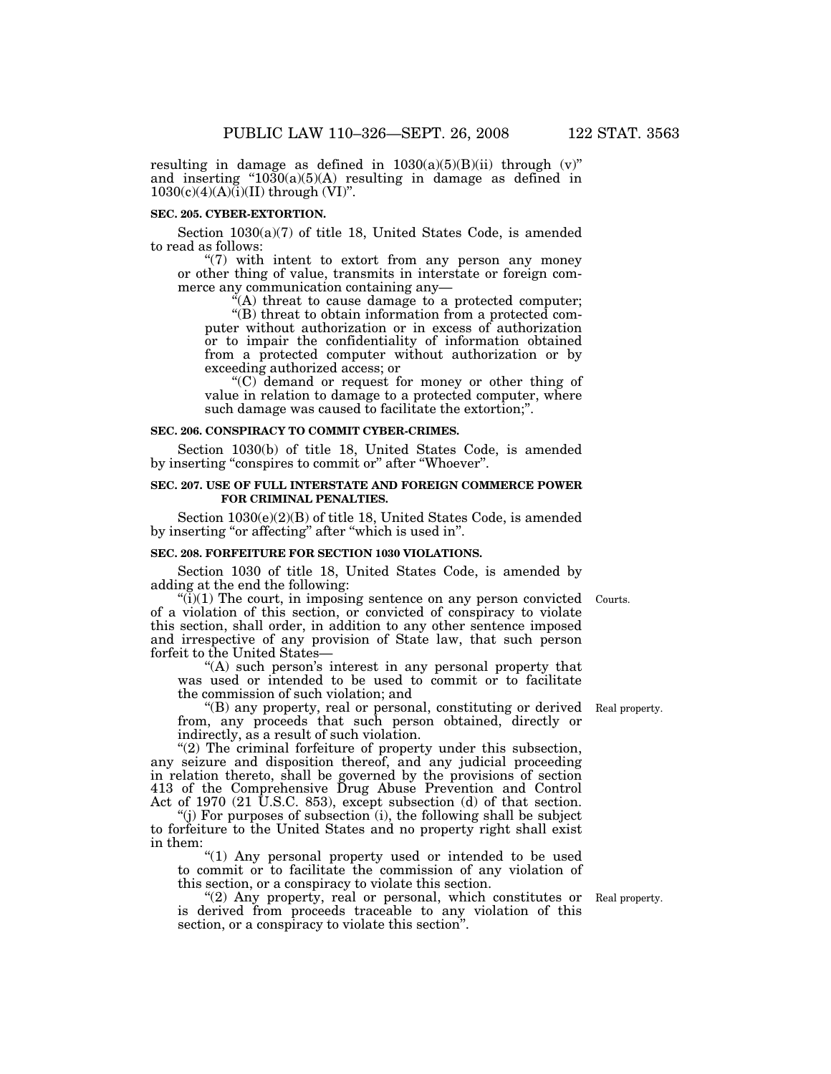resulting in damage as defined in  $1030(a)(5)(B)(ii)$  through  $(v)$ " and inserting  $"1030(a)(5)(A)$  resulting in damage as defined in  $1030(c)(4)(A)(i)(II)$  through (VI)".

#### **SEC. 205. CYBER-EXTORTION.**

Section 1030(a)(7) of title 18, United States Code, is amended to read as follows:

" $(7)$  with intent to extort from any person any money or other thing of value, transmits in interstate or foreign commerce any communication containing any—

 $f(A)$  threat to cause damage to a protected computer; ''(B) threat to obtain information from a protected computer without authorization or in excess of authorization or to impair the confidentiality of information obtained from a protected computer without authorization or by

exceeding authorized access; or

''(C) demand or request for money or other thing of value in relation to damage to a protected computer, where such damage was caused to facilitate the extortion;".

#### **SEC. 206. CONSPIRACY TO COMMIT CYBER-CRIMES.**

Section 1030(b) of title 18, United States Code, is amended by inserting "conspires to commit or" after "Whoever".

#### **SEC. 207. USE OF FULL INTERSTATE AND FOREIGN COMMERCE POWER FOR CRIMINAL PENALTIES.**

Section 1030(e)(2)(B) of title 18, United States Code, is amended by inserting "or affecting" after "which is used in".

#### **SEC. 208. FORFEITURE FOR SECTION 1030 VIOLATIONS.**

Section 1030 of title 18, United States Code, is amended by adding at the end the following:

 $\sqrt[n]{(i)}$  The court, in imposing sentence on any person convicted Courts. of a violation of this section, or convicted of conspiracy to violate this section, shall order, in addition to any other sentence imposed and irrespective of any provision of State law, that such person forfeit to the United States—

"(A) such person's interest in any personal property that was used or intended to be used to commit or to facilitate the commission of such violation; and

''(B) any property, real or personal, constituting or derived from, any proceeds that such person obtained, directly or indirectly, as a result of such violation.

"(2) The criminal forfeiture of property under this subsection, any seizure and disposition thereof, and any judicial proceeding in relation thereto, shall be governed by the provisions of section 413 of the Comprehensive Drug Abuse Prevention and Control Act of 1970 (21 U.S.C. 853), except subsection (d) of that section.

 $'$ (j) For purposes of subsection (i), the following shall be subject to forfeiture to the United States and no property right shall exist in them:

"(1) Any personal property used or intended to be used to commit or to facilitate the commission of any violation of this section, or a conspiracy to violate this section.

"(2) Any property, real or personal, which constitutes or Real property. is derived from proceeds traceable to any violation of this section, or a conspiracy to violate this section''.

Real property.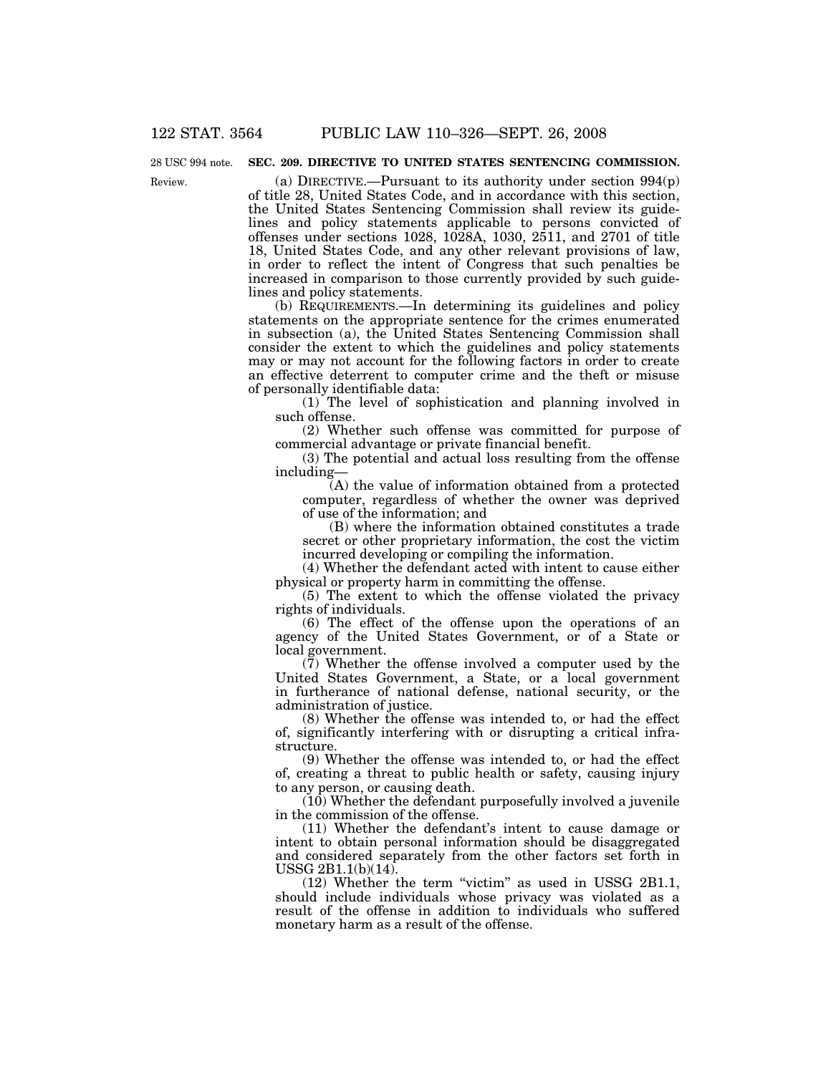### Review. 28 USC 994 note.

### **SEC. 209. DIRECTIVE TO UNITED STATES SENTENCING COMMISSION.**

(a) DIRECTIVE.—Pursuant to its authority under section  $994(p)$ of title 28, United States Code, and in accordance with this section, the United States Sentencing Commission shall review its guidelines and policy statements applicable to persons convicted of offenses under sections 1028, 1028A, 1030, 2511, and 2701 of title 18, United States Code, and any other relevant provisions of law, in order to reflect the intent of Congress that such penalties be increased in comparison to those currently provided by such guidelines and policy statements.

(b) REQUIREMENTS.—In determining its guidelines and policy statements on the appropriate sentence for the crimes enumerated in subsection (a), the United States Sentencing Commission shall consider the extent to which the guidelines and policy statements may or may not account for the following factors in order to create an effective deterrent to computer crime and the theft or misuse of personally identifiable data:

(1) The level of sophistication and planning involved in such offense.

(2) Whether such offense was committed for purpose of commercial advantage or private financial benefit.

(3) The potential and actual loss resulting from the offense including—

(A) the value of information obtained from a protected computer, regardless of whether the owner was deprived of use of the information; and

(B) where the information obtained constitutes a trade secret or other proprietary information, the cost the victim incurred developing or compiling the information.

(4) Whether the defendant acted with intent to cause either physical or property harm in committing the offense.

(5) The extent to which the offense violated the privacy rights of individuals.

(6) The effect of the offense upon the operations of an agency of the United States Government, or of a State or local government.

 $(7)$  Whether the offense involved a computer used by the United States Government, a State, or a local government in furtherance of national defense, national security, or the administration of justice.

(8) Whether the offense was intended to, or had the effect of, significantly interfering with or disrupting a critical infrastructure.

(9) Whether the offense was intended to, or had the effect of, creating a threat to public health or safety, causing injury to any person, or causing death.

(10) Whether the defendant purposefully involved a juvenile in the commission of the offense.

(11) Whether the defendant's intent to cause damage or intent to obtain personal information should be disaggregated and considered separately from the other factors set forth in USSG 2B1.1(b)(14).

(12) Whether the term ''victim'' as used in USSG 2B1.1, should include individuals whose privacy was violated as a result of the offense in addition to individuals who suffered monetary harm as a result of the offense.